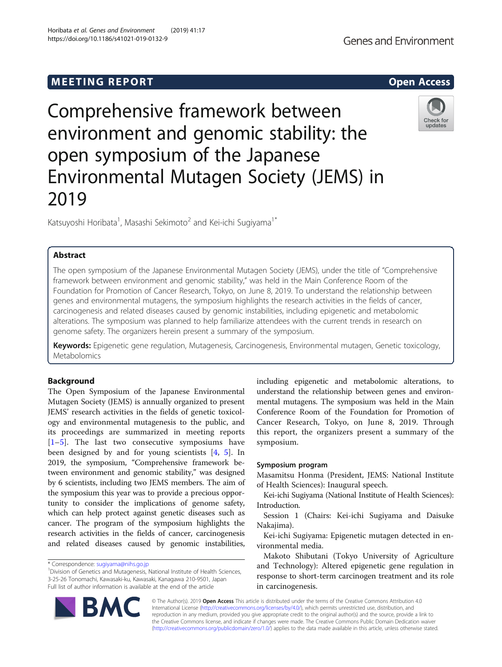# **MEETING REPORT CONSUMING A REPORT** AND THE SECOND ACCESS OPEN ACCESS

# Comprehensive framework between environment and genomic stability: the open symposium of the Japanese Environmental Mutagen Society (JEMS) in 2019

Katsuyoshi Horibata $^1$ , Masashi Sekimoto $^2$  and Kei-ichi Sugiyama $^1{}^*$ 

# Abstract

The open symposium of the Japanese Environmental Mutagen Society (JEMS), under the title of "Comprehensive framework between environment and genomic stability," was held in the Main Conference Room of the Foundation for Promotion of Cancer Research, Tokyo, on June 8, 2019. To understand the relationship between genes and environmental mutagens, the symposium highlights the research activities in the fields of cancer, carcinogenesis and related diseases caused by genomic instabilities, including epigenetic and metabolomic alterations. The symposium was planned to help familiarize attendees with the current trends in research on genome safety. The organizers herein present a summary of the symposium.

Keywords: Epigenetic gene regulation, Mutagenesis, Carcinogenesis, Environmental mutagen, Genetic toxicology, Metabolomics

# Background

The Open Symposium of the Japanese Environmental Mutagen Society (JEMS) is annually organized to present JEMS' research activities in the fields of genetic toxicology and environmental mutagenesis to the public, and its proceedings are summarized in meeting reports [[1](#page-2-0)–[5\]](#page-2-0). The last two consecutive symposiums have been designed by and for young scientists [\[4](#page-2-0), [5\]](#page-2-0). In 2019, the symposium, "Comprehensive framework between environment and genomic stability," was designed by 6 scientists, including two JEMS members. The aim of the symposium this year was to provide a precious opportunity to consider the implications of genome safety, which can help protect against genetic diseases such as cancer. The program of the symposium highlights the research activities in the fields of cancer, carcinogenesis and related diseases caused by genomic instabilities,

\* Correspondence: [sugiyama@nihs.go.jp](mailto:sugiyama@nihs.go.jp) <sup>1</sup>

<sup>1</sup> Division of Genetics and Mutagenesis, National Institute of Health Sciences, 3-25-26 Tonomachi, Kawasaki-ku, Kawasaki, Kanagawa 210-9501, Japan Full list of author information is available at the end of the article

including epigenetic and metabolomic alterations, to understand the relationship between genes and environmental mutagens. The symposium was held in the Main Conference Room of the Foundation for Promotion of Cancer Research, Tokyo, on June 8, 2019. Through this report, the organizers present a summary of the symposium.

# Symposium program

Masamitsu Honma (President, JEMS: National Institute of Health Sciences): Inaugural speech.

Kei-ichi Sugiyama (National Institute of Health Sciences): Introduction.

Session 1 (Chairs: Kei-ichi Sugiyama and Daisuke Nakajima).

Kei-ichi Sugiyama: Epigenetic mutagen detected in environmental media.

Makoto Shibutani (Tokyo University of Agriculture and Technology): Altered epigenetic gene regulation in response to short-term carcinogen treatment and its role in carcinogenesis.

© The Author(s). 2019 Open Access This article is distributed under the terms of the Creative Commons Attribution 4.0 International License [\(http://creativecommons.org/licenses/by/4.0/](http://creativecommons.org/licenses/by/4.0/)), which permits unrestricted use, distribution, and reproduction in any medium, provided you give appropriate credit to the original author(s) and the source, provide a link to the Creative Commons license, and indicate if changes were made. The Creative Commons Public Domain Dedication waiver [\(http://creativecommons.org/publicdomain/zero/1.0/](http://creativecommons.org/publicdomain/zero/1.0/)) applies to the data made available in this article, unless otherwise stated.







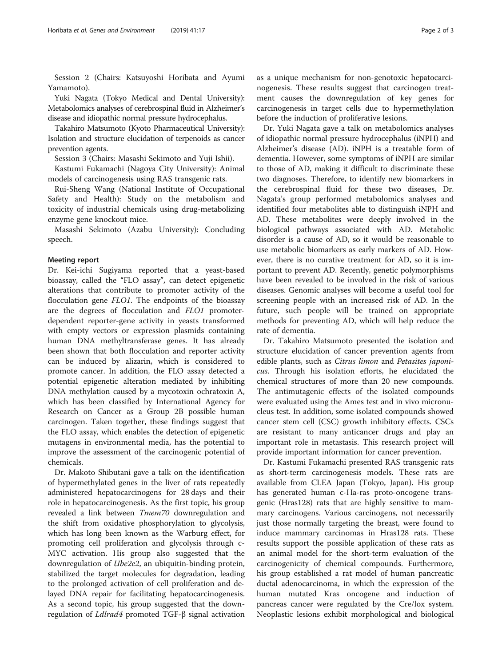Session 2 (Chairs: Katsuyoshi Horibata and Ayumi Yamamoto).

Yuki Nagata (Tokyo Medical and Dental University): Metabolomics analyses of cerebrospinal fluid in Alzheimer's disease and idiopathic normal pressure hydrocephalus.

Takahiro Matsumoto (Kyoto Pharmaceutical University): Isolation and structure elucidation of terpenoids as cancer prevention agents.

Session 3 (Chairs: Masashi Sekimoto and Yuji Ishii).

Kastumi Fukamachi (Nagoya City University): Animal models of carcinogenesis using RAS transgenic rats.

Rui-Sheng Wang (National Institute of Occupational Safety and Health): Study on the metabolism and toxicity of industrial chemicals using drug-metabolizing enzyme gene knockout mice.

Masashi Sekimoto (Azabu University): Concluding speech.

# Meeting report

Dr. Kei-ichi Sugiyama reported that a yeast-based bioassay, called the "FLO assay", can detect epigenetic alterations that contribute to promoter activity of the flocculation gene *FLO1*. The endpoints of the bioassay are the degrees of flocculation and FLO1 promoterdependent reporter-gene activity in yeasts transformed with empty vectors or expression plasmids containing human DNA methyltransferase genes. It has already been shown that both flocculation and reporter activity can be induced by alizarin, which is considered to promote cancer. In addition, the FLO assay detected a potential epigenetic alteration mediated by inhibiting DNA methylation caused by a mycotoxin ochratoxin A, which has been classified by International Agency for Research on Cancer as a Group 2B possible human carcinogen. Taken together, these findings suggest that the FLO assay, which enables the detection of epigenetic mutagens in environmental media, has the potential to improve the assessment of the carcinogenic potential of chemicals.

Dr. Makoto Shibutani gave a talk on the identification of hypermethylated genes in the liver of rats repeatedly administered hepatocarcinogens for 28 days and their role in hepatocarcinogenesis. As the first topic, his group revealed a link between *Tmem70* downregulation and the shift from oxidative phosphorylation to glycolysis, which has long been known as the Warburg effect, for promoting cell proliferation and glycolysis through c-MYC activation. His group also suggested that the downregulation of Ube2e2, an ubiquitin-binding protein, stabilized the target molecules for degradation, leading to the prolonged activation of cell proliferation and delayed DNA repair for facilitating hepatocarcinogenesis. As a second topic, his group suggested that the downregulation of Ldlrad4 promoted TGF-β signal activation as a unique mechanism for non-genotoxic hepatocarcinogenesis. These results suggest that carcinogen treatment causes the downregulation of key genes for carcinogenesis in target cells due to hypermethylation before the induction of proliferative lesions.

Dr. Yuki Nagata gave a talk on metabolomics analyses of idiopathic normal pressure hydrocephalus (iNPH) and Alzheimer's disease (AD). iNPH is a treatable form of dementia. However, some symptoms of iNPH are similar to those of AD, making it difficult to discriminate these two diagnoses. Therefore, to identify new biomarkers in the cerebrospinal fluid for these two diseases, Dr. Nagata's group performed metabolomics analyses and identified four metabolites able to distinguish iNPH and AD. These metabolites were deeply involved in the biological pathways associated with AD. Metabolic disorder is a cause of AD, so it would be reasonable to use metabolic biomarkers as early markers of AD. However, there is no curative treatment for AD, so it is important to prevent AD. Recently, genetic polymorphisms have been revealed to be involved in the risk of various diseases. Genomic analyses will become a useful tool for screening people with an increased risk of AD. In the future, such people will be trained on appropriate methods for preventing AD, which will help reduce the rate of dementia.

Dr. Takahiro Matsumoto presented the isolation and structure elucidation of cancer prevention agents from edible plants, such as *Citrus limon* and *Petasites japoni*cus. Through his isolation efforts, he elucidated the chemical structures of more than 20 new compounds. The antimutagenic effects of the isolated compounds were evaluated using the Ames test and in vivo micronucleus test. In addition, some isolated compounds showed cancer stem cell (CSC) growth inhibitory effects. CSCs are resistant to many anticancer drugs and play an important role in metastasis. This research project will provide important information for cancer prevention.

Dr. Kastumi Fukamachi presented RAS transgenic rats as short-term carcinogenesis models. These rats are available from CLEA Japan (Tokyo, Japan). His group has generated human c-Ha-ras proto-oncogene transgenic (Hras128) rats that are highly sensitive to mammary carcinogens. Various carcinogens, not necessarily just those normally targeting the breast, were found to induce mammary carcinomas in Hras128 rats. These results support the possible application of these rats as an animal model for the short-term evaluation of the carcinogenicity of chemical compounds. Furthermore, his group established a rat model of human pancreatic ductal adenocarcinoma, in which the expression of the human mutated Kras oncogene and induction of pancreas cancer were regulated by the Cre/lox system. Neoplastic lesions exhibit morphological and biological